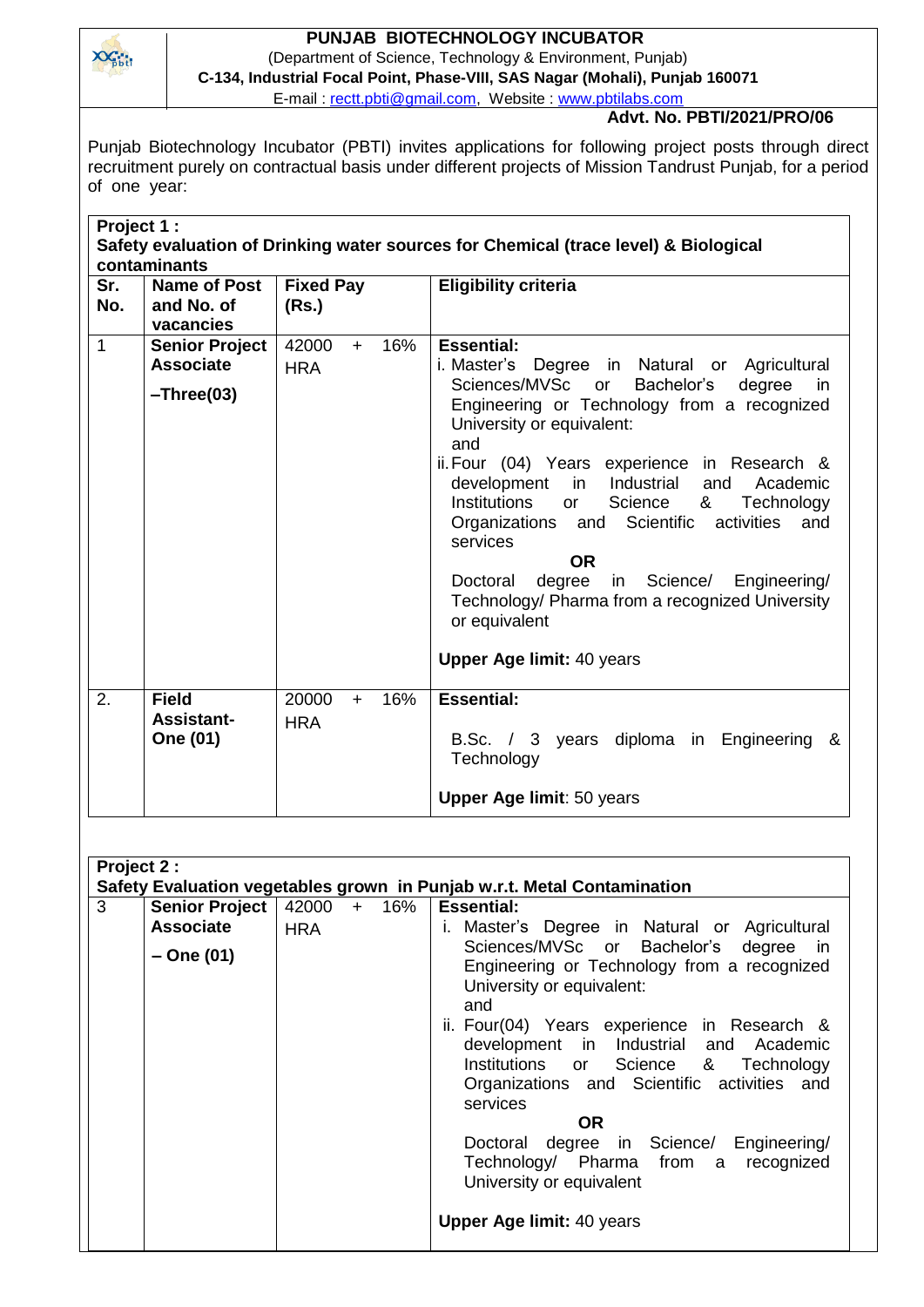

## **PUNJAB BIOTECHNOLOGY INCUBATOR**

(Department of Science, Technology & Environment, Punjab) **C-134, Industrial Focal Point, Phase-VIII, SAS Nagar (Mohali), Punjab 160071**

E-mail : [rectt.pbti@gmail.com,](mailto:rectt.pbti@gmail.com) Website : [www.pbtilabs.com](http://www.pbtilabs.com/)

## **Advt. No. PBTI/2021/PRO/06**

Punjab Biotechnology Incubator (PBTI) invites applications for following project posts through direct recruitment purely on contractual basis under different projects of Mission Tandrust Punjab, for a period of one year:

| Project 1 :                                                                                         |                                                           |                                   |                                                                                                                                                                                                                                                                                                                                                                                                                                                                                                                                                                                                               |  |  |  |  |  |
|-----------------------------------------------------------------------------------------------------|-----------------------------------------------------------|-----------------------------------|---------------------------------------------------------------------------------------------------------------------------------------------------------------------------------------------------------------------------------------------------------------------------------------------------------------------------------------------------------------------------------------------------------------------------------------------------------------------------------------------------------------------------------------------------------------------------------------------------------------|--|--|--|--|--|
| Safety evaluation of Drinking water sources for Chemical (trace level) & Biological<br>contaminants |                                                           |                                   |                                                                                                                                                                                                                                                                                                                                                                                                                                                                                                                                                                                                               |  |  |  |  |  |
| Sr.<br>No.                                                                                          | <b>Name of Post</b><br>and No. of<br>vacancies            | <b>Fixed Pay</b><br>(Rs.)         | <b>Eligibility criteria</b>                                                                                                                                                                                                                                                                                                                                                                                                                                                                                                                                                                                   |  |  |  |  |  |
| $\mathbf{1}$                                                                                        | <b>Senior Project</b><br><b>Associate</b><br>$-Three(03)$ | 42000<br>16%<br>$+$<br><b>HRA</b> | <b>Essential:</b><br>i. Master's Degree in Natural or Agricultural<br>Sciences/MVSc<br>Bachelor's<br>degree<br>or<br>in.<br>Engineering or Technology from a recognized<br>University or equivalent:<br>and<br>ii. Four (04) Years experience in Research &<br>in<br>development<br>Industrial<br>Academic<br>and<br>Institutions<br>Science<br>&<br>Technology<br>or<br>Organizations and Scientific<br>activities<br>and<br>services<br><b>OR</b><br>degree<br>in Science/ Engineering/<br>Doctoral<br>Technology/ Pharma from a recognized University<br>or equivalent<br><b>Upper Age limit: 40 years</b> |  |  |  |  |  |
| 2.                                                                                                  | <b>Field</b><br><b>Assistant-</b><br>One (01)             | 20000<br>16%<br>$+$<br><b>HRA</b> | <b>Essential:</b><br>B.Sc. / 3 years diploma in Engineering &<br>Technology<br><b>Upper Age limit: 50 years</b>                                                                                                                                                                                                                                                                                                                                                                                                                                                                                               |  |  |  |  |  |

| Project 2:<br>Safety Evaluation vegetables grown in Punjab w.r.t. Metal Contamination |                           |  |  |                                                                                                                                                                                                                                                                                                                                                                                                                                                                                                                                                                           |  |  |  |  |
|---------------------------------------------------------------------------------------|---------------------------|--|--|---------------------------------------------------------------------------------------------------------------------------------------------------------------------------------------------------------------------------------------------------------------------------------------------------------------------------------------------------------------------------------------------------------------------------------------------------------------------------------------------------------------------------------------------------------------------------|--|--|--|--|
| 3<br>Senior Project  <br><b>Associate</b><br>– One (01)                               | 42000 + 16%<br><b>HRA</b> |  |  | <b>Essential:</b><br>i. Master's Degree in Natural or Agricultural<br>Sciences/MVSc or Bachelor's degree<br><sub>in</sub><br>Engineering or Technology from a recognized<br>University or equivalent:<br>and<br>ii. Four(04) Years experience in Research &<br>development in Industrial and Academic<br>Institutions or Science & Technology<br>Organizations and Scientific activities and<br>services<br><b>OR</b><br>Doctoral degree in Science/ Engineering/<br>Technology/ Pharma from a recognized<br>University or equivalent<br><b>Upper Age limit: 40 years</b> |  |  |  |  |